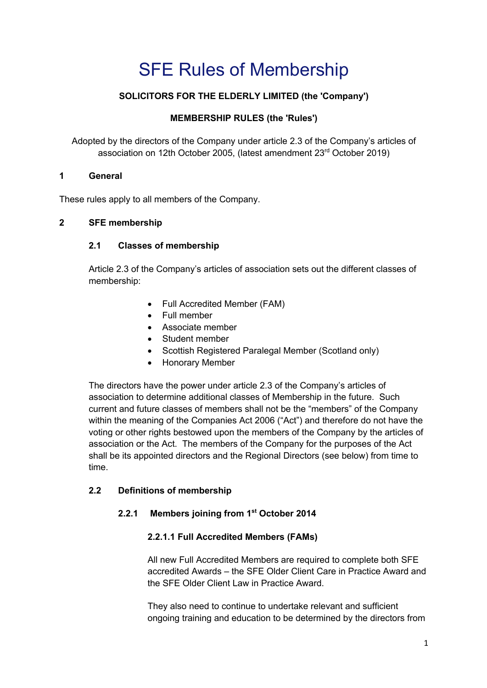# SFE Rules of Membership

# **SOLICITORS FOR THE ELDERLY LIMITED (the 'Company')**

## **MEMBERSHIP RULES (the 'Rules')**

Adopted by the directors of the Company under article 2.3 of the Company's articles of association on 12th October 2005, (latest amendment 23rd October 2019)

#### **1 General**

These rules apply to all members of the Company.

#### **2 SFE membership**

## **2.1 Classes of membership**

Article 2.3 of the Company's articles of association sets out the different classes of membership:

- Full Accredited Member (FAM)
- Full member
- Associate member
- Student member
- Scottish Registered Paralegal Member (Scotland only)
- Honorary Member

The directors have the power under article 2.3 of the Company's articles of association to determine additional classes of Membership in the future. Such current and future classes of members shall not be the "members" of the Company within the meaning of the Companies Act 2006 ("Act") and therefore do not have the voting or other rights bestowed upon the members of the Company by the articles of association or the Act. The members of the Company for the purposes of the Act shall be its appointed directors and the Regional Directors (see below) from time to time.

#### **2.2 Definitions of membership**

## **2.2.1 Members joining from 1st October 2014**

## **2.2.1.1 Full Accredited Members (FAMs)**

All new Full Accredited Members are required to complete both SFE accredited Awards – the SFE Older Client Care in Practice Award and the SFE Older Client Law in Practice Award.

They also need to continue to undertake relevant and sufficient ongoing training and education to be determined by the directors from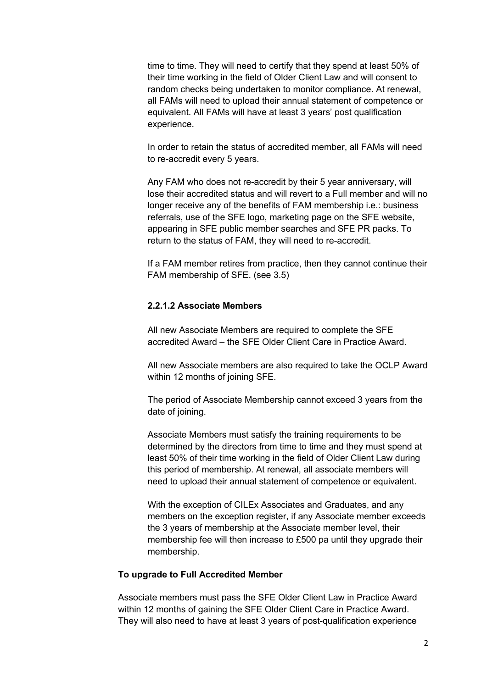time to time. They will need to certify that they spend at least 50% of their time working in the field of Older Client Law and will consent to random checks being undertaken to monitor compliance. At renewal, all FAMs will need to upload their annual statement of competence or equivalent. All FAMs will have at least 3 years' post qualification experience.

In order to retain the status of accredited member, all FAMs will need to re-accredit every 5 years.

Any FAM who does not re-accredit by their 5 year anniversary, will lose their accredited status and will revert to a Full member and will no longer receive any of the benefits of FAM membership i.e.: business referrals, use of the SFE logo, marketing page on the SFE website, appearing in SFE public member searches and SFE PR packs. To return to the status of FAM, they will need to re-accredit.

If a FAM member retires from practice, then they cannot continue their FAM membership of SFE. (see 3.5)

#### **2.2.1.2 Associate Members**

All new Associate Members are required to complete the SFE accredited Award – the SFE Older Client Care in Practice Award.

All new Associate members are also required to take the OCLP Award within 12 months of joining SFE.

The period of Associate Membership cannot exceed 3 years from the date of joining.

Associate Members must satisfy the training requirements to be determined by the directors from time to time and they must spend at least 50% of their time working in the field of Older Client Law during this period of membership. At renewal, all associate members will need to upload their annual statement of competence or equivalent.

With the exception of CILEx Associates and Graduates, and any members on the exception register, if any Associate member exceeds the 3 years of membership at the Associate member level, their membership fee will then increase to £500 pa until they upgrade their membership.

#### **To upgrade to Full Accredited Member**

Associate members must pass the SFE Older Client Law in Practice Award within 12 months of gaining the SFE Older Client Care in Practice Award. They will also need to have at least 3 years of post-qualification experience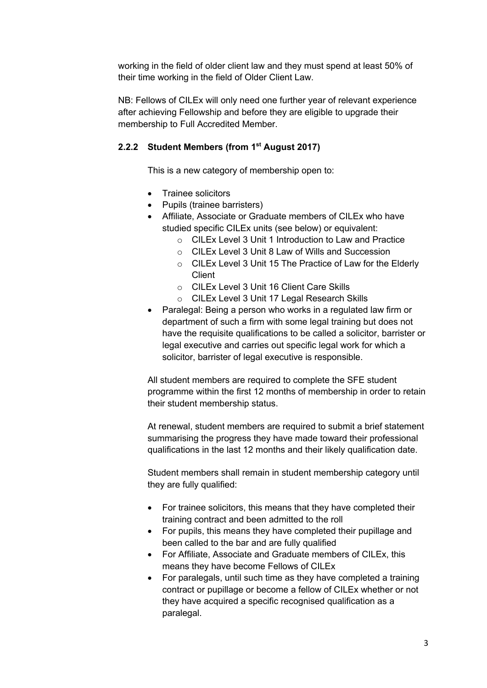working in the field of older client law and they must spend at least 50% of their time working in the field of Older Client Law.

NB: Fellows of CILEx will only need one further year of relevant experience after achieving Fellowship and before they are eligible to upgrade their membership to Full Accredited Member.

#### **2.2.2 Student Members (from 1st August 2017)**

This is a new category of membership open to:

- Trainee solicitors
- Pupils (trainee barristers)
- Affiliate, Associate or Graduate members of CILEx who have studied specific CILEx units (see below) or equivalent:
	- o CILEx Level 3 Unit 1 Introduction to Law and Practice
	- o CILEx Level 3 Unit 8 Law of Wills and Succession
	- o CILEx Level 3 Unit 15 The Practice of Law for the Elderly **Client**
	- o CILEx Level 3 Unit 16 Client Care Skills
	- o CILEx Level 3 Unit 17 Legal Research Skills
- Paralegal: Being a person who works in a regulated law firm or department of such a firm with some legal training but does not have the requisite qualifications to be called a solicitor, barrister or legal executive and carries out specific legal work for which a solicitor, barrister of legal executive is responsible.

All student members are required to complete the SFE student programme within the first 12 months of membership in order to retain their student membership status.

At renewal, student members are required to submit a brief statement summarising the progress they have made toward their professional qualifications in the last 12 months and their likely qualification date.

Student members shall remain in student membership category until they are fully qualified:

- For trainee solicitors, this means that they have completed their training contract and been admitted to the roll
- For pupils, this means they have completed their pupillage and been called to the bar and are fully qualified
- For Affiliate, Associate and Graduate members of CILEx, this means they have become Fellows of CILEx
- For paralegals, until such time as they have completed a training contract or pupillage or become a fellow of CILEx whether or not they have acquired a specific recognised qualification as a paralegal.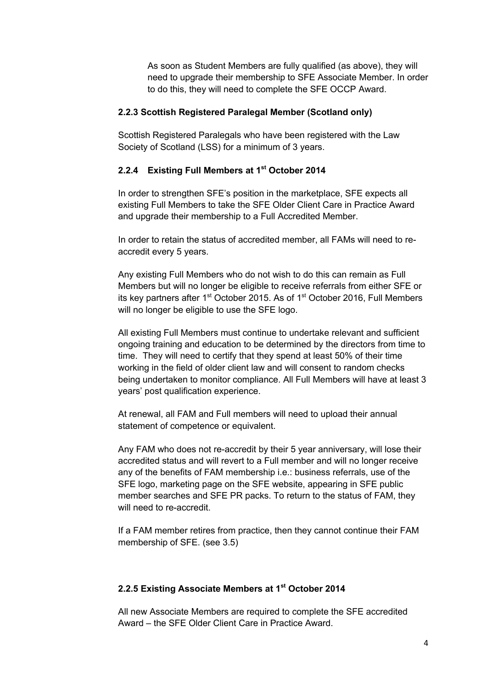As soon as Student Members are fully qualified (as above), they will need to upgrade their membership to SFE Associate Member. In order to do this, they will need to complete the SFE OCCP Award.

#### **2.2.3 Scottish Registered Paralegal Member (Scotland only)**

Scottish Registered Paralegals who have been registered with the Law Society of Scotland (LSS) for a minimum of 3 years.

#### **2.2.4 Existing Full Members at 1st October 2014**

In order to strengthen SFE's position in the marketplace, SFE expects all existing Full Members to take the SFE Older Client Care in Practice Award and upgrade their membership to a Full Accredited Member.

In order to retain the status of accredited member, all FAMs will need to reaccredit every 5 years.

Any existing Full Members who do not wish to do this can remain as Full Members but will no longer be eligible to receive referrals from either SFE or its key partners after 1<sup>st</sup> October 2015. As of 1<sup>st</sup> October 2016, Full Members will no longer be eligible to use the SFE logo.

All existing Full Members must continue to undertake relevant and sufficient ongoing training and education to be determined by the directors from time to time. They will need to certify that they spend at least 50% of their time working in the field of older client law and will consent to random checks being undertaken to monitor compliance. All Full Members will have at least 3 years' post qualification experience.

At renewal, all FAM and Full members will need to upload their annual statement of competence or equivalent.

Any FAM who does not re-accredit by their 5 year anniversary, will lose their accredited status and will revert to a Full member and will no longer receive any of the benefits of FAM membership i.e.: business referrals, use of the SFE logo, marketing page on the SFE website, appearing in SFE public member searches and SFE PR packs. To return to the status of FAM, they will need to re-accredit.

If a FAM member retires from practice, then they cannot continue their FAM membership of SFE. (see 3.5)

#### **2.2.5 Existing Associate Members at 1st October 2014**

All new Associate Members are required to complete the SFE accredited Award – the SFE Older Client Care in Practice Award.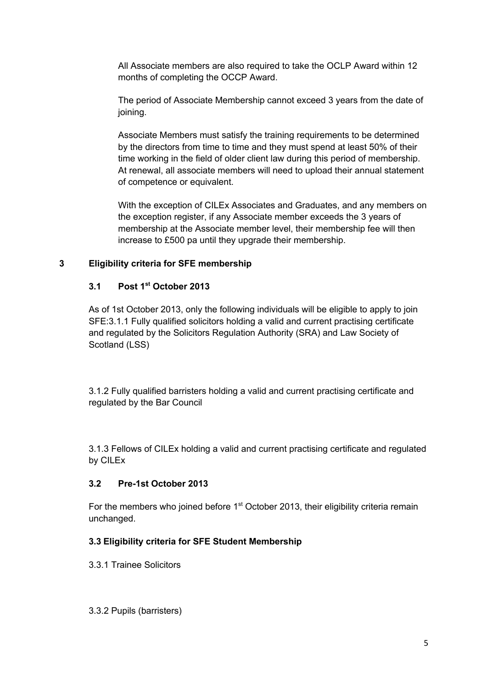All Associate members are also required to take the OCLP Award within 12 months of completing the OCCP Award.

The period of Associate Membership cannot exceed 3 years from the date of joining.

Associate Members must satisfy the training requirements to be determined by the directors from time to time and they must spend at least 50% of their time working in the field of older client law during this period of membership. At renewal, all associate members will need to upload their annual statement of competence or equivalent.

With the exception of CILEx Associates and Graduates, and any members on the exception register, if any Associate member exceeds the 3 years of membership at the Associate member level, their membership fee will then increase to £500 pa until they upgrade their membership.

## **3 Eligibility criteria for SFE membership**

## **3.1 Post 1st October 2013**

As of 1st October 2013, only the following individuals will be eligible to apply to join SFE:3.1.1 Fully qualified solicitors holding a valid and current practising certificate and regulated by the Solicitors Regulation Authority (SRA) and Law Society of Scotland (LSS)

3.1.2 Fully qualified barristers holding a valid and current practising certificate and regulated by the Bar Council

3.1.3 Fellows of CILEx holding a valid and current practising certificate and regulated by CILEx

## **3.2 Pre-1st October 2013**

For the members who joined before  $1<sup>st</sup>$  October 2013, their eligibility criteria remain unchanged.

## **3.3 Eligibility criteria for SFE Student Membership**

3.3.1 Trainee Solicitors

3.3.2 Pupils (barristers)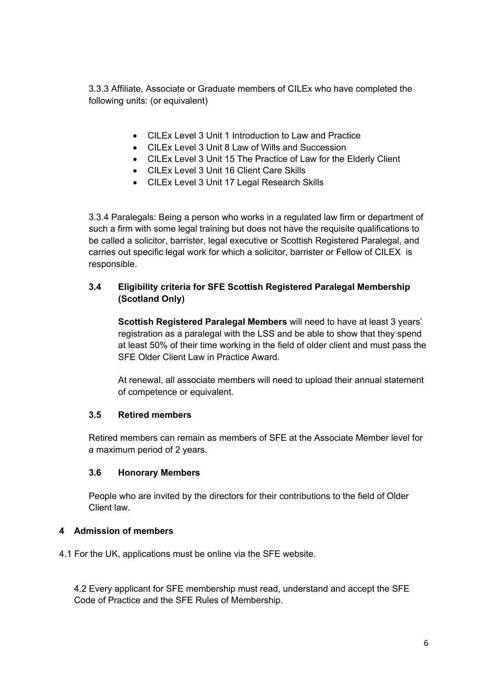3.3.3 Affiliate, Associate or Graduate members of CILEx who have completed the following units: (or equivalent)

- CILEx Level 3 Unit 1 Introduction to Law and Practice
- CILEx Level 3 Unit 8 Law of Wills and Succession
- CILEx Level 3 Unit 15 The Practice of Law for the Elderly Client
- CILEx Level 3 Unit 16 Client Care Skills
- CILEx Level 3 Unit 17 Legal Research Skills

3.3.4 Paralegals: Being a person who works in a regulated law firm or department of such a firm with some legal training but does not have the requisite qualifications to be called a solicitor, barrister, legal executive or Scottish Registered Paralegal, and carries out specific legal work for which a solicitor, barrister or Fellow of CILEX is responsible.

## **3.4 Eligibility criteria for SFE Scottish Registered Paralegal Membership (Scotland Only)**

**Scottish Registered Paralegal Members** will need to have at least 3 years' registration as a paralegal with the LSS and be able to show that they spend at least 50% of their time working in the field of older client and must pass the SFE Older Client Law in Practice Award.

At renewal, all associate members will need to upload their annual statement of competence or equivalent.

## **3.5 Retired members**

Retired members can remain as members of SFE at the Associate Member level for a maximum period of 2 years.

## **3.6 Honorary Members**

People who are invited by the directors for their contributions to the field of Older Client law.

## **4 Admission of members**

4.1 For the UK, applications must be online via the SFE website.

4.2 Every applicant for SFE membership must read, understand and accept the SFE Code of Practice and the SFE Rules of Membership.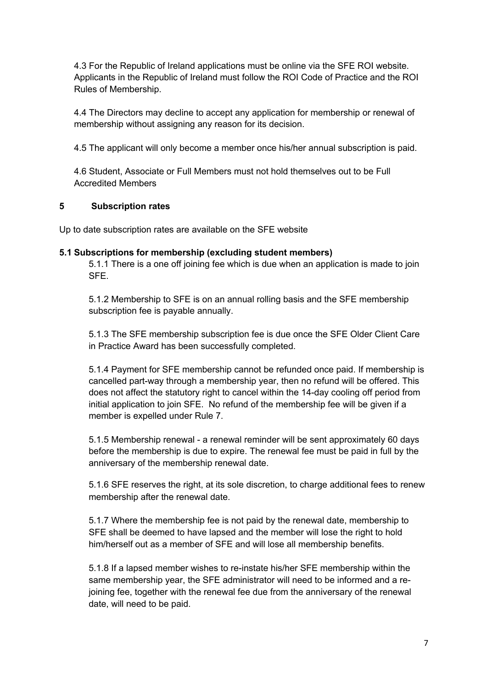4.3 For the Republic of Ireland applications must be online via the SFE ROI website. Applicants in the Republic of Ireland must follow the ROI Code of Practice and the ROI Rules of Membership.

4.4 The Directors may decline to accept any application for membership or renewal of membership without assigning any reason for its decision.

4.5 The applicant will only become a member once his/her annual subscription is paid.

4.6 Student, Associate or Full Members must not hold themselves out to be Full Accredited Members

#### **5 Subscription rates**

Up to date subscription rates are available on the SFE website

#### **5.1 Subscriptions for membership (excluding student members)**

5.1.1 There is a one off joining fee which is due when an application is made to join SFE.

5.1.2 Membership to SFE is on an annual rolling basis and the SFE membership subscription fee is payable annually.

5.1.3 The SFE membership subscription fee is due once the SFE Older Client Care in Practice Award has been successfully completed.

5.1.4 Payment for SFE membership cannot be refunded once paid. If membership is cancelled part-way through a membership year, then no refund will be offered. This does not affect the statutory right to cancel within the 14-day cooling off period from initial application to join SFE. No refund of the membership fee will be given if a member is expelled under Rule 7.

5.1.5 Membership renewal - a renewal reminder will be sent approximately 60 days before the membership is due to expire. The renewal fee must be paid in full by the anniversary of the membership renewal date.

5.1.6 SFE reserves the right, at its sole discretion, to charge additional fees to renew membership after the renewal date.

5.1.7 Where the membership fee is not paid by the renewal date, membership to SFE shall be deemed to have lapsed and the member will lose the right to hold him/herself out as a member of SFE and will lose all membership benefits.

5.1.8 If a lapsed member wishes to re-instate his/her SFE membership within the same membership year, the SFE administrator will need to be informed and a rejoining fee, together with the renewal fee due from the anniversary of the renewal date, will need to be paid.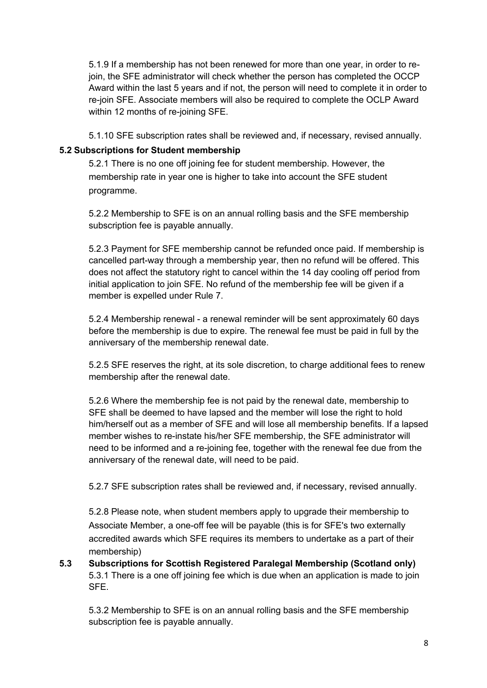5.1.9 If a membership has not been renewed for more than one year, in order to rejoin, the SFE administrator will check whether the person has completed the OCCP Award within the last 5 years and if not, the person will need to complete it in order to re-join SFE. Associate members will also be required to complete the OCLP Award within 12 months of re-joining SFE.

5.1.10 SFE subscription rates shall be reviewed and, if necessary, revised annually.

## **5.2 Subscriptions for Student membership**

5.2.1 There is no one off joining fee for student membership. However, the membership rate in year one is higher to take into account the SFE student programme.

5.2.2 Membership to SFE is on an annual rolling basis and the SFE membership subscription fee is payable annually.

5.2.3 Payment for SFE membership cannot be refunded once paid. If membership is cancelled part-way through a membership year, then no refund will be offered. This does not affect the statutory right to cancel within the 14 day cooling off period from initial application to join SFE. No refund of the membership fee will be given if a member is expelled under Rule 7.

5.2.4 Membership renewal - a renewal reminder will be sent approximately 60 days before the membership is due to expire. The renewal fee must be paid in full by the anniversary of the membership renewal date.

5.2.5 SFE reserves the right, at its sole discretion, to charge additional fees to renew membership after the renewal date.

5.2.6 Where the membership fee is not paid by the renewal date, membership to SFE shall be deemed to have lapsed and the member will lose the right to hold him/herself out as a member of SFE and will lose all membership benefits. If a lapsed member wishes to re-instate his/her SFE membership, the SFE administrator will need to be informed and a re-joining fee, together with the renewal fee due from the anniversary of the renewal date, will need to be paid.

5.2.7 SFE subscription rates shall be reviewed and, if necessary, revised annually.

5.2.8 Please note, when student members apply to upgrade their membership to Associate Member, a one-off fee will be payable (this is for SFE's two externally accredited awards which SFE requires its members to undertake as a part of their membership)

**5.3 Subscriptions for Scottish Registered Paralegal Membership (Scotland only)** 5.3.1 There is a one off joining fee which is due when an application is made to join SFE.

5.3.2 Membership to SFE is on an annual rolling basis and the SFE membership subscription fee is payable annually.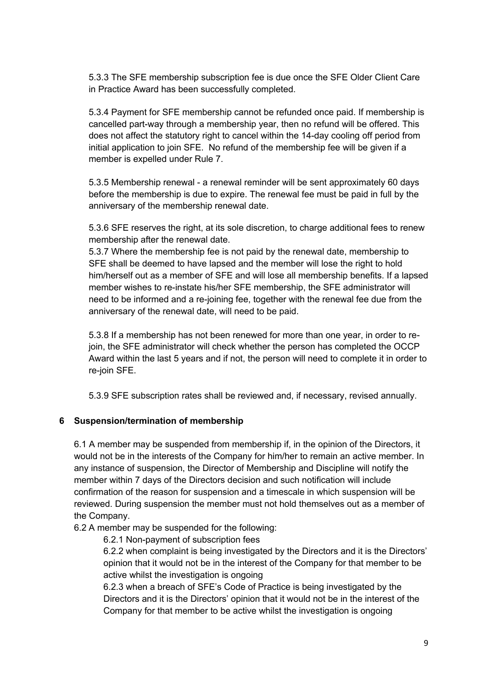5.3.3 The SFE membership subscription fee is due once the SFE Older Client Care in Practice Award has been successfully completed.

5.3.4 Payment for SFE membership cannot be refunded once paid. If membership is cancelled part-way through a membership year, then no refund will be offered. This does not affect the statutory right to cancel within the 14-day cooling off period from initial application to join SFE. No refund of the membership fee will be given if a member is expelled under Rule 7.

5.3.5 Membership renewal - a renewal reminder will be sent approximately 60 days before the membership is due to expire. The renewal fee must be paid in full by the anniversary of the membership renewal date.

5.3.6 SFE reserves the right, at its sole discretion, to charge additional fees to renew membership after the renewal date.

5.3.7 Where the membership fee is not paid by the renewal date, membership to SFE shall be deemed to have lapsed and the member will lose the right to hold him/herself out as a member of SFE and will lose all membership benefits. If a lapsed member wishes to re-instate his/her SFE membership, the SFE administrator will need to be informed and a re-joining fee, together with the renewal fee due from the anniversary of the renewal date, will need to be paid.

5.3.8 If a membership has not been renewed for more than one year, in order to rejoin, the SFE administrator will check whether the person has completed the OCCP Award within the last 5 years and if not, the person will need to complete it in order to re-join SFE.

5.3.9 SFE subscription rates shall be reviewed and, if necessary, revised annually.

#### **6 Suspension/termination of membership**

6.1 A member may be suspended from membership if, in the opinion of the Directors, it would not be in the interests of the Company for him/her to remain an active member. In any instance of suspension, the Director of Membership and Discipline will notify the member within 7 days of the Directors decision and such notification will include confirmation of the reason for suspension and a timescale in which suspension will be reviewed. During suspension the member must not hold themselves out as a member of the Company.

6.2 A member may be suspended for the following:

6.2.1 Non-payment of subscription fees

6.2.2 when complaint is being investigated by the Directors and it is the Directors' opinion that it would not be in the interest of the Company for that member to be active whilst the investigation is ongoing

6.2.3 when a breach of SFE's Code of Practice is being investigated by the Directors and it is the Directors' opinion that it would not be in the interest of the Company for that member to be active whilst the investigation is ongoing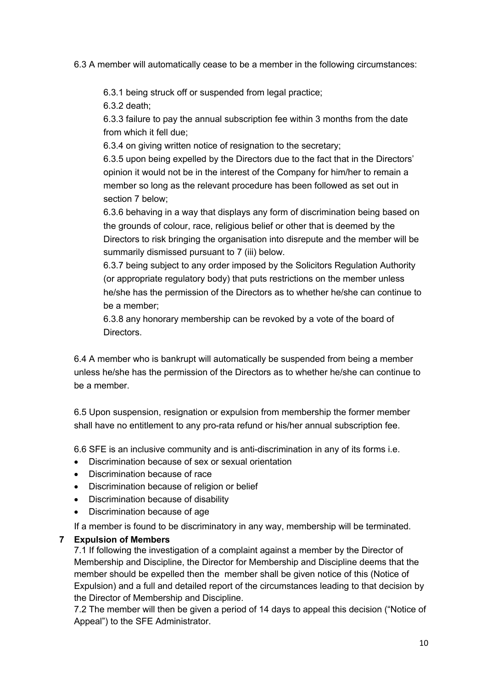6.3 A member will automatically cease to be a member in the following circumstances:

6.3.1 being struck off or suspended from legal practice;

6.3.2 death;

6.3.3 failure to pay the annual subscription fee within 3 months from the date from which it fell due;

6.3.4 on giving written notice of resignation to the secretary;

6.3.5 upon being expelled by the Directors due to the fact that in the Directors' opinion it would not be in the interest of the Company for him/her to remain a member so long as the relevant procedure has been followed as set out in section 7 below;

6.3.6 behaving in a way that displays any form of discrimination being based on the grounds of colour, race, religious belief or other that is deemed by the Directors to risk bringing the organisation into disrepute and the member will be summarily dismissed pursuant to 7 (iii) below.

6.3.7 being subject to any order imposed by the Solicitors Regulation Authority (or appropriate regulatory body) that puts restrictions on the member unless he/she has the permission of the Directors as to whether he/she can continue to be a member;

6.3.8 any honorary membership can be revoked by a vote of the board of Directors.

6.4 A member who is bankrupt will automatically be suspended from being a member unless he/she has the permission of the Directors as to whether he/she can continue to be a member.

6.5 Upon suspension, resignation or expulsion from membership the former member shall have no entitlement to any pro-rata refund or his/her annual subscription fee.

6.6 SFE is an inclusive community and is anti-discrimination in any of its forms i.e.

- Discrimination because of sex or sexual orientation
- Discrimination because of race
- Discrimination because of religion or belief
- Discrimination because of disability
- Discrimination because of age

If a member is found to be discriminatory in any way, membership will be terminated.

## **7 Expulsion of Members**

7.1 If following the investigation of a complaint against a member by the Director of Membership and Discipline, the Director for Membership and Discipline deems that the member should be expelled then the member shall be given notice of this (Notice of Expulsion) and a full and detailed report of the circumstances leading to that decision by the Director of Membership and Discipline.

7.2 The member will then be given a period of 14 days to appeal this decision ("Notice of Appeal") to the SFE Administrator.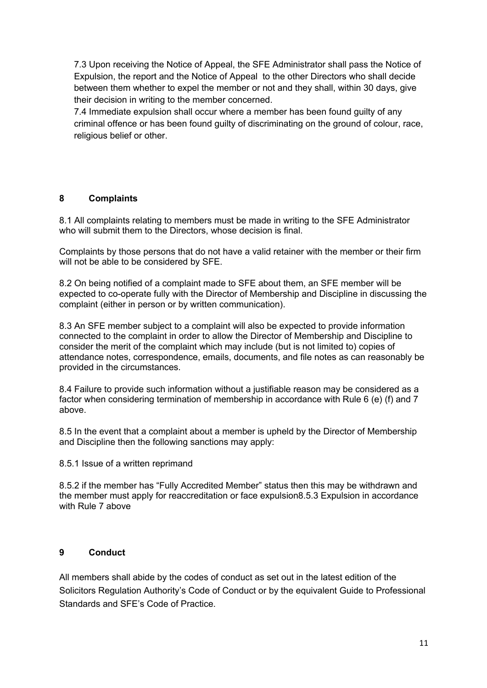7.3 Upon receiving the Notice of Appeal, the SFE Administrator shall pass the Notice of Expulsion, the report and the Notice of Appeal to the other Directors who shall decide between them whether to expel the member or not and they shall, within 30 days, give their decision in writing to the member concerned.

7.4 Immediate expulsion shall occur where a member has been found guilty of any criminal offence or has been found guilty of discriminating on the ground of colour, race, religious belief or other.

#### **8 Complaints**

8.1 All complaints relating to members must be made in writing to the SFE Administrator who will submit them to the Directors, whose decision is final.

Complaints by those persons that do not have a valid retainer with the member or their firm will not be able to be considered by SFE.

8.2 On being notified of a complaint made to SFE about them, an SFE member will be expected to co-operate fully with the Director of Membership and Discipline in discussing the complaint (either in person or by written communication).

8.3 An SFE member subject to a complaint will also be expected to provide information connected to the complaint in order to allow the Director of Membership and Discipline to consider the merit of the complaint which may include (but is not limited to) copies of attendance notes, correspondence, emails, documents, and file notes as can reasonably be provided in the circumstances.

8.4 Failure to provide such information without a justifiable reason may be considered as a factor when considering termination of membership in accordance with Rule 6 (e) (f) and 7 above.

8.5 In the event that a complaint about a member is upheld by the Director of Membership and Discipline then the following sanctions may apply:

#### 8.5.1 Issue of a written reprimand

8.5.2 if the member has "Fully Accredited Member" status then this may be withdrawn and the member must apply for reaccreditation or face expulsion8.5.3 Expulsion in accordance with Rule 7 above

#### **9 Conduct**

All members shall abide by the codes of conduct as set out in the latest edition of the Solicitors Regulation Authority's Code of Conduct or by the equivalent Guide to Professional Standards and SFE's Code of Practice.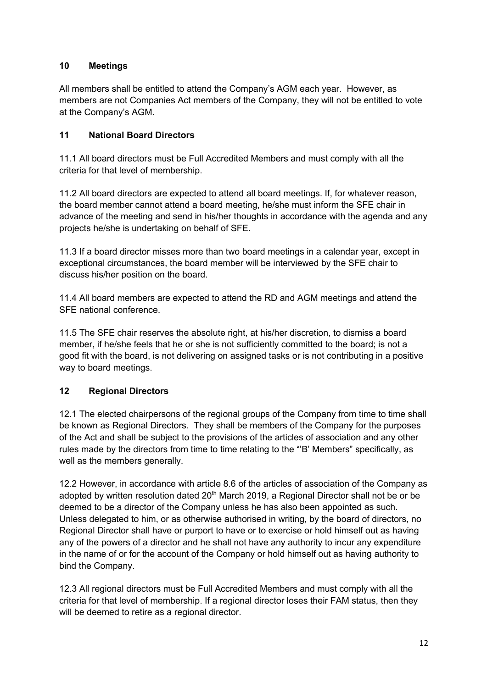## **10 Meetings**

All members shall be entitled to attend the Company's AGM each year. However, as members are not Companies Act members of the Company, they will not be entitled to vote at the Company's AGM.

## **11 National Board Directors**

11.1 All board directors must be Full Accredited Members and must comply with all the criteria for that level of membership.

11.2 All board directors are expected to attend all board meetings. If, for whatever reason, the board member cannot attend a board meeting, he/she must inform the SFE chair in advance of the meeting and send in his/her thoughts in accordance with the agenda and any projects he/she is undertaking on behalf of SFE.

11.3 If a board director misses more than two board meetings in a calendar year, except in exceptional circumstances, the board member will be interviewed by the SFE chair to discuss his/her position on the board.

11.4 All board members are expected to attend the RD and AGM meetings and attend the SFE national conference.

11.5 The SFE chair reserves the absolute right, at his/her discretion, to dismiss a board member, if he/she feels that he or she is not sufficiently committed to the board; is not a good fit with the board, is not delivering on assigned tasks or is not contributing in a positive way to board meetings.

## **12 Regional Directors**

12.1 The elected chairpersons of the regional groups of the Company from time to time shall be known as Regional Directors. They shall be members of the Company for the purposes of the Act and shall be subject to the provisions of the articles of association and any other rules made by the directors from time to time relating to the "'B' Members" specifically, as well as the members generally.

12.2 However, in accordance with article 8.6 of the articles of association of the Company as adopted by written resolution dated  $20<sup>th</sup>$  March 2019, a Regional Director shall not be or be deemed to be a director of the Company unless he has also been appointed as such. Unless delegated to him, or as otherwise authorised in writing, by the board of directors, no Regional Director shall have or purport to have or to exercise or hold himself out as having any of the powers of a director and he shall not have any authority to incur any expenditure in the name of or for the account of the Company or hold himself out as having authority to bind the Company.

12.3 All regional directors must be Full Accredited Members and must comply with all the criteria for that level of membership. If a regional director loses their FAM status, then they will be deemed to retire as a regional director.